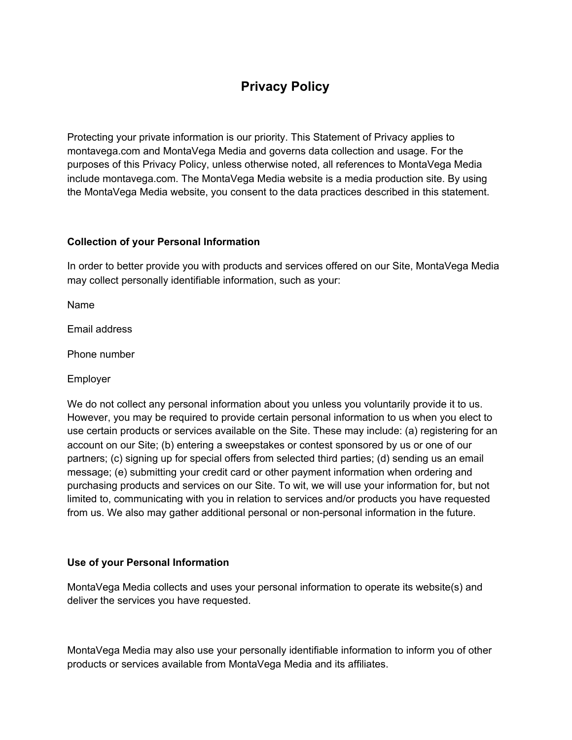# **Privacy Policy**

Protecting your private information is our priority. This Statement of Privacy applies to montavega.com and MontaVega Media and governs data collection and usage. For the purposes of this Privacy Policy, unless otherwise noted, all references to MontaVega Media include montavega.com. The MontaVega Media website is a media production site. By using the MontaVega Media website, you consent to the data practices described in this statement.

## **Collection of your Personal Information**

In order to better provide you with products and services offered on our Site, MontaVega Media may collect personally identifiable information, such as your:

Name

Email address

Phone number

Employer

We do not collect any personal information about you unless you voluntarily provide it to us. However, you may be required to provide certain personal information to us when you elect to use certain products or services available on the Site. These may include: (a) registering for an account on our Site; (b) entering a sweepstakes or contest sponsored by us or one of our partners; (c) signing up for special offers from selected third parties; (d) sending us an email message; (e) submitting your credit card or other payment information when ordering and purchasing products and services on our Site. To wit, we will use your information for, but not limited to, communicating with you in relation to services and/or products you have requested from us. We also may gather additional personal or non-personal information in the future.

## **Use of your Personal Information**

MontaVega Media collects and uses your personal information to operate its website(s) and deliver the services you have requested.

MontaVega Media may also use your personally identifiable information to inform you of other products or services available from MontaVega Media and its affiliates.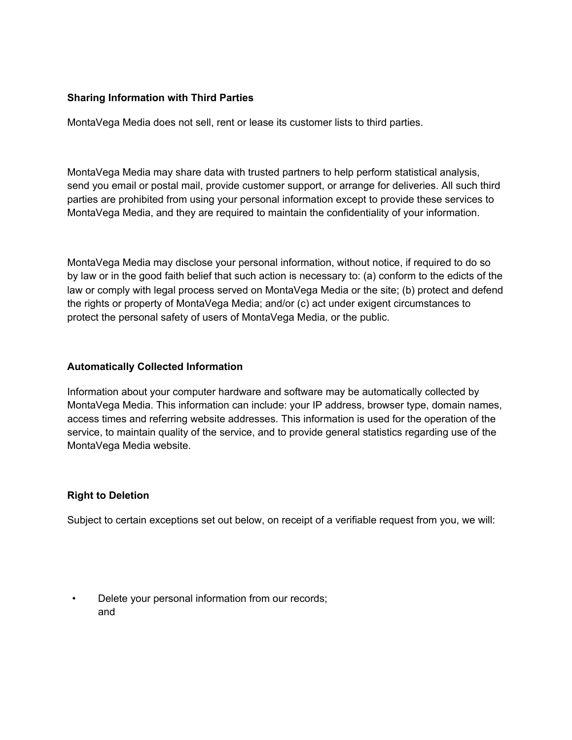## **Sharing Information with Third Parties**

MontaVega Media does not sell, rent or lease its customer lists to third parties.

MontaVega Media may share data with trusted partners to help perform statistical analysis, send you email or postal mail, provide customer support, or arrange for deliveries. All such third parties are prohibited from using your personal information except to provide these services to MontaVega Media, and they are required to maintain the confidentiality of your information.

MontaVega Media may disclose your personal information, without notice, if required to do so by law or in the good faith belief that such action is necessary to: (a) conform to the edicts of the law or comply with legal process served on MontaVega Media or the site; (b) protect and defend the rights or property of MontaVega Media; and/or (c) act under exigent circumstances to protect the personal safety of users of MontaVega Media, or the public.

## **Automatically Collected Information**

Information about your computer hardware and software may be automatically collected by MontaVega Media. This information can include: your IP address, browser type, domain names, access times and referring website addresses. This information is used for the operation of the service, to maintain quality of the service, and to provide general statistics regarding use of the MontaVega Media website.

# **Right to Deletion**

Subject to certain exceptions set out below, on receipt of a verifiable request from you, we will:

Delete your personal information from our records; and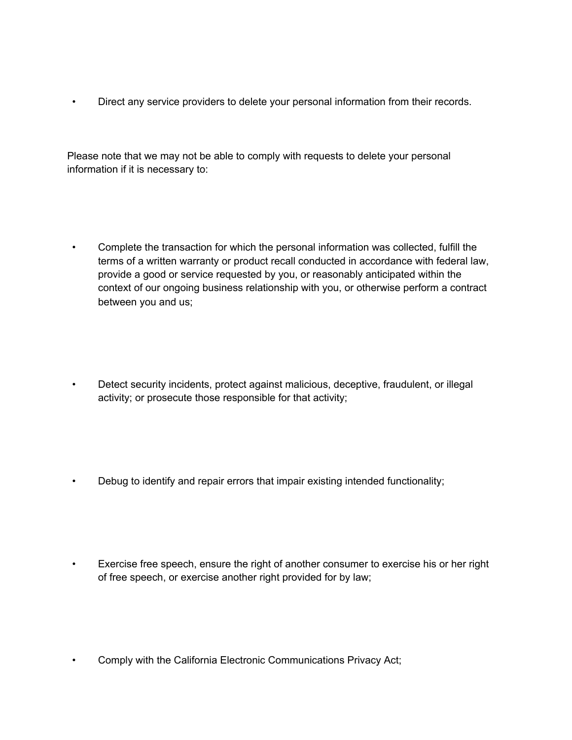• Direct any service providers to delete your personal information from their records.

Please note that we may not be able to comply with requests to delete your personal information if it is necessary to:

- Complete the transaction for which the personal information was collected, fulfill the terms of a written warranty or product recall conducted in accordance with federal law, provide a good or service requested by you, or reasonably anticipated within the context of our ongoing business relationship with you, or otherwise perform a contract between you and us;
- Detect security incidents, protect against malicious, deceptive, fraudulent, or illegal activity; or prosecute those responsible for that activity;
- Debug to identify and repair errors that impair existing intended functionality;
- Exercise free speech, ensure the right of another consumer to exercise his or her right of free speech, or exercise another right provided for by law;
- Comply with the California Electronic Communications Privacy Act;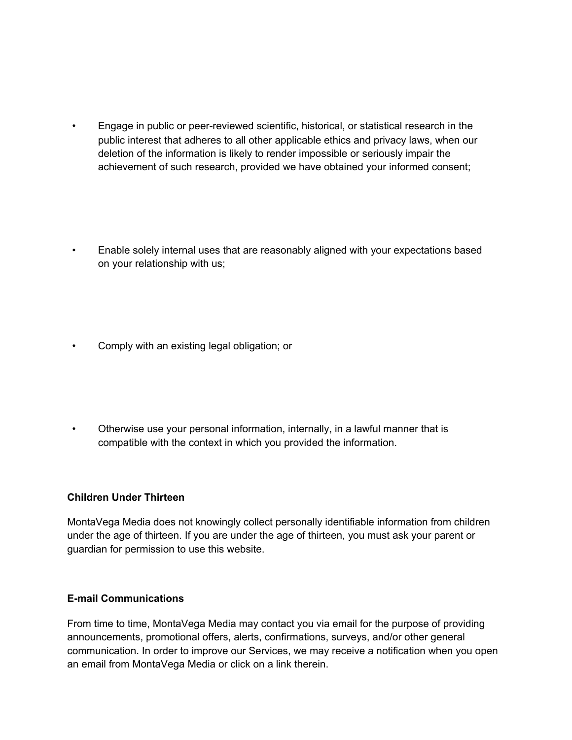- Engage in public or peer-reviewed scientific, historical, or statistical research in the public interest that adheres to all other applicable ethics and privacy laws, when our deletion of the information is likely to render impossible or seriously impair the achievement of such research, provided we have obtained your informed consent;
- Enable solely internal uses that are reasonably aligned with your expectations based on your relationship with us;
- Comply with an existing legal obligation; or
- Otherwise use your personal information, internally, in a lawful manner that is compatible with the context in which you provided the information.

# **Children Under Thirteen**

MontaVega Media does not knowingly collect personally identifiable information from children under the age of thirteen. If you are under the age of thirteen, you must ask your parent or guardian for permission to use this website.

## **E-mail Communications**

From time to time, MontaVega Media may contact you via email for the purpose of providing announcements, promotional offers, alerts, confirmations, surveys, and/or other general communication. In order to improve our Services, we may receive a notification when you open an email from MontaVega Media or click on a link therein.